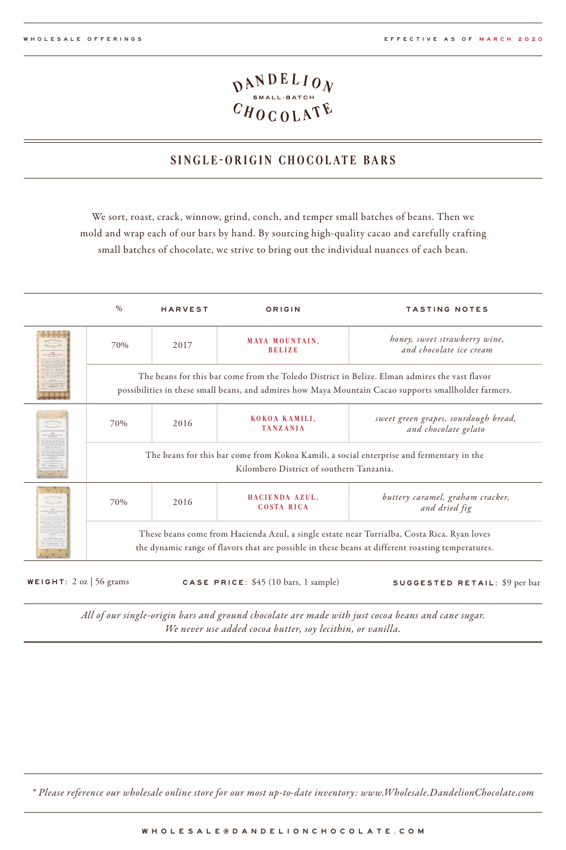## $\frac{\mathcal{D}^{ANDELIO}_{\text{SMAL-BATCH}}}{C H O CO L A T \&}$

#### **SINGLE -ORIGIN CHOCOLATE BARS**

We sort, roast, crack, winnow, grind, conch, and temper small batches of beans. Then we mold and wrap each of our bars by hand. By sourcing high-quality cacao and carefully crafting small batches of chocolate, we strive to bring out the individual nuances of each bean.

|                                                              | %                                                                                                                                                                                                | <b>HARVEST</b>                              | ORIGIN                                            | <b>TASTING NOTES</b>                                                                                                                                                                                   |  |  |  |
|--------------------------------------------------------------|--------------------------------------------------------------------------------------------------------------------------------------------------------------------------------------------------|---------------------------------------------|---------------------------------------------------|--------------------------------------------------------------------------------------------------------------------------------------------------------------------------------------------------------|--|--|--|
| <b>DANDELIOS</b><br><b>CROCOLATE</b><br><b>XILIMOTACIALE</b> | 70%                                                                                                                                                                                              | 2017                                        | MAYA MOUNTAIN.<br><b>BELIZE</b>                   | honey, sweet strawberry wine,<br>and chocolate ice cream                                                                                                                                               |  |  |  |
|                                                              |                                                                                                                                                                                                  |                                             |                                                   | The beans for this bar come from the Toledo District in Belize. Elman admires the vast flavor<br>possibilities in these small beans, and admires how Maya Mountain Cacao supports smallholder farmers. |  |  |  |
| <b>GANDELION</b><br><b>CRACOLASS</b><br><b>DEFLEVAL FOU</b>  | 70%                                                                                                                                                                                              | 2016                                        | KOKOA KAMILI.<br><b>TANZANIA</b>                  | sweet green grapes, sourdough bread,<br>and chocolate gelato                                                                                                                                           |  |  |  |
|                                                              | The beans for this bar come from Kokoa Kamili, a social enterprise and fermentary in the<br>Kilombero District of southern Tanzania.                                                             |                                             |                                                   |                                                                                                                                                                                                        |  |  |  |
| axXDELION<br>Starni x35<br><b>SON TOWARDS</b>                | 70%                                                                                                                                                                                              | HACIENDA AZUL.<br>2016<br><b>COSTA RICA</b> | buttery caramel, graham cracker,<br>and dried fig |                                                                                                                                                                                                        |  |  |  |
|                                                              | These beans come from Hacienda Azul, a single estate near Turrialba, Costa Rica. Ryan loves<br>the dynamic range of flavors that are possible in these beans at different roasting temperatures. |                                             |                                                   |                                                                                                                                                                                                        |  |  |  |

WEIGHT: 2 oz | 56 grams CASE PRICE: \$45 (10 bars, 1 sample) SUGGESTED RETAIL: \$9 per bar

*All of our single-origin bars and ground chocolate are made with just cocoa beans and cane sugar. We never use added cocoa butter, soy lecithin, or vanilla.*

*\* Please reference our wholesale online store for our most up-to-date inventory: www.Wholesale.DandelionChocolate.com*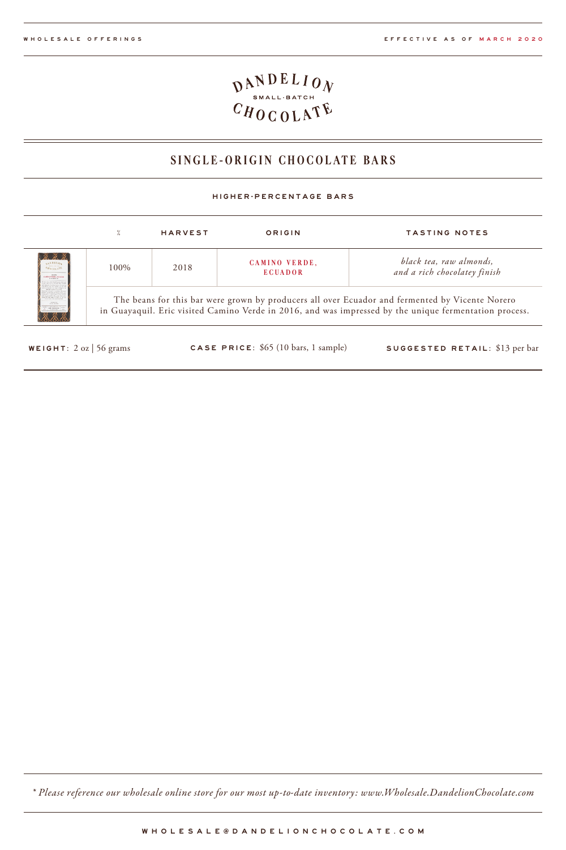# $\frac{\mathcal{D}^{ANDELIO}_{\text{SMALL-BATCH}}}{C H \mathcal{D} \mathcal{L} \mathcal{D} \mathcal{L} \mathcal{D}}$

### **SINGLE-ORIGIN CHOCOLATE BARS**

#### HIGHER-PERCENTAGE BARS

|                                                                                                                                                                                                                                             | %                                                                                                                                                                                                         | <b>HARVEST</b> | ORIGIN                          | TASTING NOTES                                           |  |  |
|---------------------------------------------------------------------------------------------------------------------------------------------------------------------------------------------------------------------------------------------|-----------------------------------------------------------------------------------------------------------------------------------------------------------------------------------------------------------|----------------|---------------------------------|---------------------------------------------------------|--|--|
| <b>2. 2. 2.</b><br><b>AXNILLIGA</b><br><b>BRACK BATER</b><br><b>Moran AT</b><br>300%<br><b>CREWLY LEGAL GAS AND</b><br>18888888                                                                                                             | 100%                                                                                                                                                                                                      | 2018           | CAMINO VERDE,<br><b>ECUADOR</b> | black tea, raw almonds,<br>and a rich chocolatey finish |  |  |
| of develop an extra as form our<br>standing to the air<br>products the colors of more<br>the are now of their or and<br>the contract and contract and<br><b>CONTRACTOR</b><br><b>CALLA ALANY</b><br>principle.<br><b>CONTRACTOR</b><br>76 V | The beans for this bar were grown by producers all over Ecuador and fermented by Vicente Norero<br>in Guayaquil. Eric visited Camino Verde in 2016, and was impressed by the unique fermentation process. |                |                                 |                                                         |  |  |

WEIGHT: 2 oz | 56 grams CASE PRICE: \$65 (10 bars, 1 sample) SUGGESTED RETAIL: \$13 per bar

*\* Please reference our wholesale online store for our most up-to-date inventory: www.Wholesale.DandelionChocolate.com*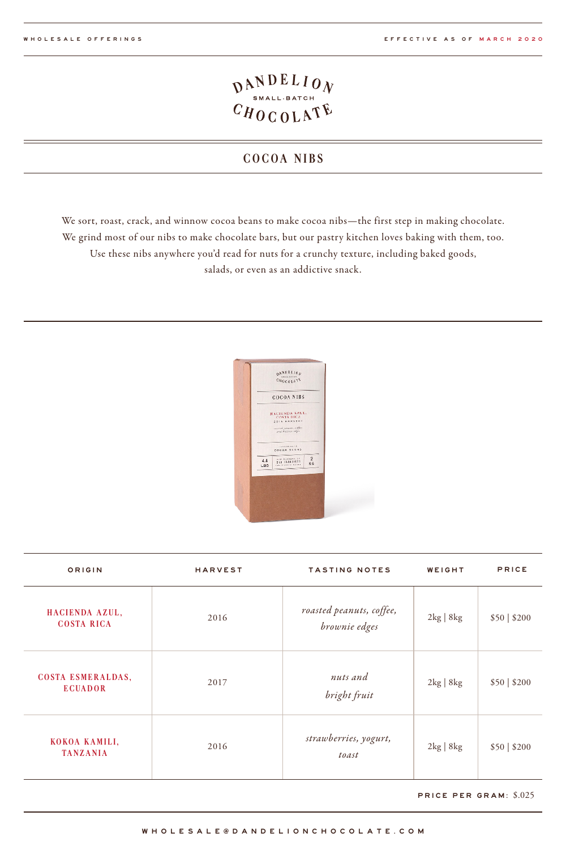### **COCOA NIBS**

We sort, roast, crack, and winnow cocoa beans to make cocoa nibs—the first step in making chocolate. We grind most of our nibs to make chocolate bars, but our pastry kitchen loves baking with them, too. Use these nibs anywhere you'd read for nuts for a crunchy texture, including baked goods, salads, or even as an addictive snack.



| ORIGIN                                     | <b>HARVEST</b> | <b>TASTING NOTES</b>                      | WEIGHT                       | PRICE        |
|--------------------------------------------|----------------|-------------------------------------------|------------------------------|--------------|
| HACIENDA AZUL,<br><b>COSTA RICA</b>        | 2016           | roasted peanuts, coffee,<br>brownie edges | $2\text{kg}$   8 $\text{kg}$ | \$50   \$200 |
| <b>COSTA ESMERALDAS,</b><br><b>ECUADOR</b> | 2017           | nuts and<br>bright fruit                  | $2\text{kg}$   8kg           | \$50   \$200 |
| KOKOA KAMILI,<br><b>TANZANIA</b>           | 2016           | strawberries, yogurt,<br>toast            | $2\text{kg}$   8kg           | \$50   \$200 |

PRICE PER GRAM: \$.025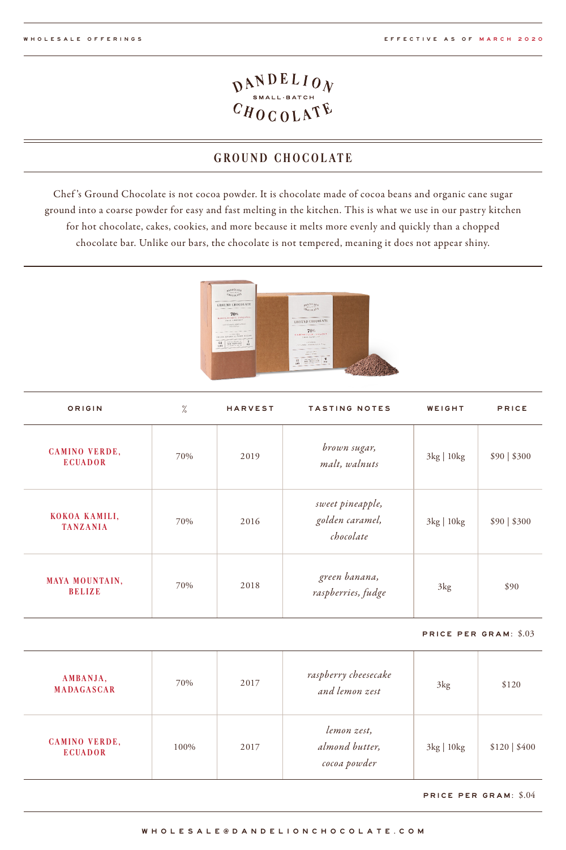## $\frac{D_{\text{SMAL-BATCH}}}{C H 0 C 0 L \Lambda^{\text{T}} E}$

### **GROUND CHOCOLATE**

Chef 's Ground Chocolate is not cocoa powder. It is chocolate made of cocoa beans and organic cane sugar ground into a coarse powder for easy and fast melting in the kitchen. This is what we use in our pastry kitchen for hot chocolate, cakes, cookies, and more because it melts more evenly and quickly than a chopped chocolate bar. Unlike our bars, the chocolate is not tempered, meaning it does not appear shiny.



| ORIGIN                                 | $\frac{9}{6}$ | <b>HARVEST</b> | <b>TASTING NOTES</b>                             | WEIGHT                        | PRICE        |
|----------------------------------------|---------------|----------------|--------------------------------------------------|-------------------------------|--------------|
| <b>CAMINO VERDE,</b><br><b>ECUADOR</b> | 70%           | 2019           | brown sugar,<br>malt, walnuts                    | $3\text{kg}$   10 $\text{kg}$ | \$90   \$300 |
| KOKOA KAMILI,<br><b>TANZANIA</b>       | 70%           | 2016           | sweet pineapple,<br>golden caramel,<br>chocolate | $3\text{kg}$   10 $\text{kg}$ | \$90   \$300 |
| <b>MAYA MOUNTAIN,</b><br><b>BELIZE</b> | 70%           | 2018           | green banana,<br>raspberries, fudge              | 3kg                           | \$90         |

#### PRICE PER GRAM: \$.03

| AMBANJA,<br><b>MADAGASCAR</b>          | 70%  | 2017 | raspberry cheesecake<br>and lemon zest        | $3\text{kg}$                  | \$120            |
|----------------------------------------|------|------|-----------------------------------------------|-------------------------------|------------------|
| <b>CAMINO VERDE,</b><br><b>ECUADOR</b> | 100% | 2017 | lemon zest,<br>almond butter,<br>cocoa powder | $3\text{kg}$   10 $\text{kg}$ | $$120 \mid $400$ |

PRICE PER GRAM: \$.04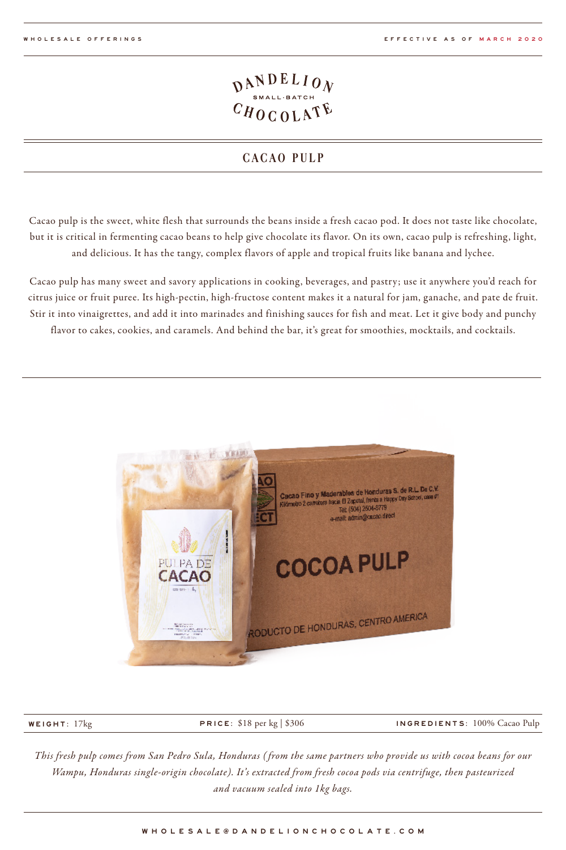### **CACAO PULP**

Cacao pulp is the sweet, white flesh that surrounds the beans inside a fresh cacao pod. It does not taste like chocolate, but it is critical in fermenting cacao beans to help give chocolate its flavor. On its own, cacao pulp is refreshing, light, and delicious. It has the tangy, complex flavors of apple and tropical fruits like banana and lychee.

Cacao pulp has many sweet and savory applications in cooking, beverages, and pastry; use it anywhere you'd reach for citrus juice or fruit puree. Its high-pectin, high-fructose content makes it a natural for jam, ganache, and pate de fruit. Stir it into vinaigrettes, and add it into marinades and finishing sauces for fish and meat. Let it give body and punchy flavor to cakes, cookies, and caramels. And behind the bar, it's great for smoothies, mocktails, and cocktails.



WEIGHT: 17kg PRICE: \$18 per kg | \$306 INGREDIENTS: 100% Cacao Pulp

*This fresh pulp comes from San Pedro Sula, Honduras ( from the same partners who provide us with cocoa beans for our Wampu, Honduras single-origin chocolate). It's extracted from fresh cocoa pods via centrifuge, then pasteurized and vacuum sealed into 1kg bags.*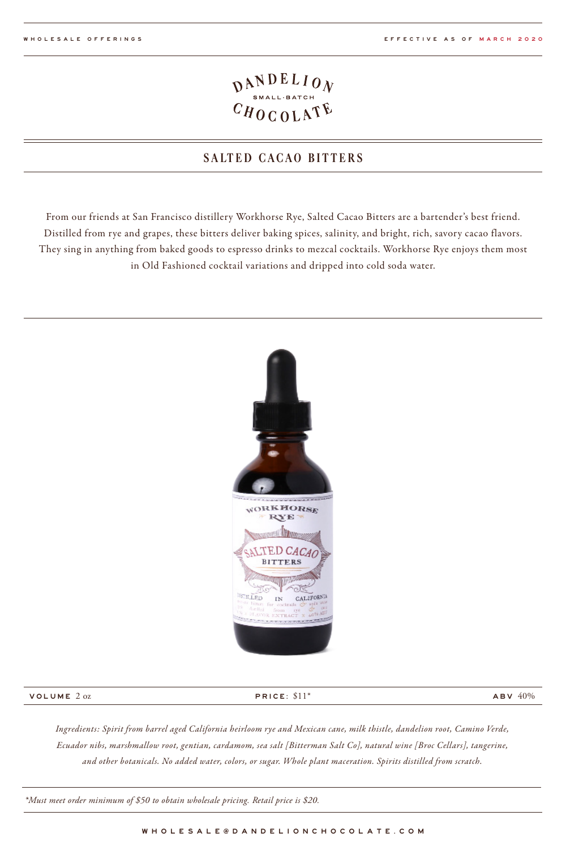## $\frac{D_{\text{SMAL-BATCH}}}{C H 0 C 0 L \Lambda^{\text{R}}}$

### **SALTED CACAO BITTERS**

From our friends at San Francisco distillery Workhorse Rye, Salted Cacao Bitters are a bartender's best friend. Distilled from rye and grapes, these bitters deliver baking spices, salinity, and bright, rich, savory cacao flavors. They sing in anything from baked goods to espresso drinks to mezcal cocktails. Workhorse Rye enjoys them most in Old Fashioned cocktail variations and dripped into cold soda water.



#### VOLUME 2 oz

PRICE: \$11\*

 $ABV 40%$ 

*Ingredients: Spirit from barrel aged California heirloom rye and Mexican cane, milk thistle, dandelion root, Camino Verde, Ecuador nibs, marshmallow root, gentian, cardamom, sea salt [Bitterman Salt Co], natural wine [Broc Cellars], tangerine, and other botanicals. No added water, colors, or sugar. Whole plant maceration. Spirits distilled from scratch.*

*\*Must meet order minimum of \$50 to obtain wholesale pricing. Retail price is \$20.*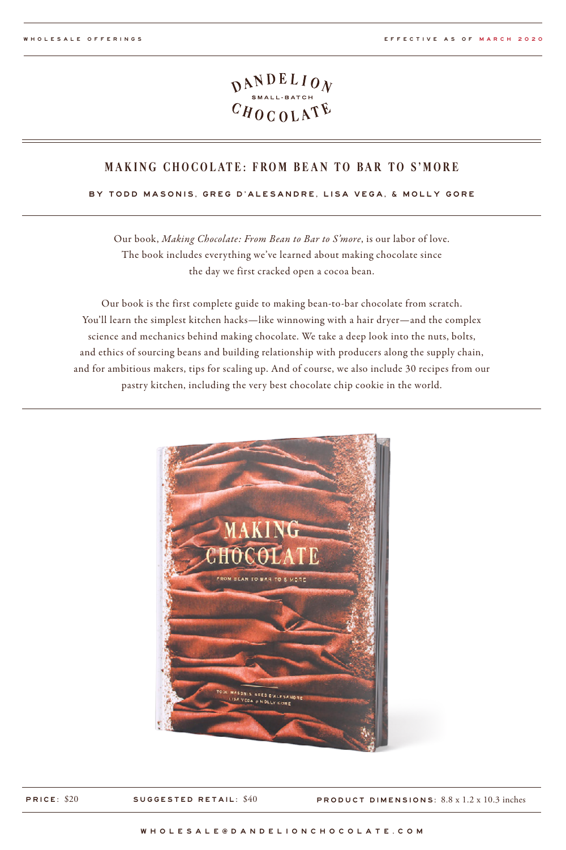#### **MAKING CHOCOLATE: FROM BEAN TO BAR TO S'MORE**

#### BY TODD MASONIS, GREG D'ALESANDRE, LISA VEGA, & MOLLY GORE

Our book, *Making Chocolate: From Bean to Bar to S'more*, is our labor of love. The book includes everything we've learned about making chocolate since the day we first cracked open a cocoa bean.

Our book is the first complete guide to making bean-to-bar chocolate from scratch. You'll learn the simplest kitchen hacks—like winnowing with a hair dryer—and the complex science and mechanics behind making chocolate. We take a deep look into the nuts, bolts, and ethics of sourcing beans and building relationship with producers along the supply chain, and for ambitious makers, tips for scaling up. And of course, we also include 30 recipes from our pastry kitchen, including the very best chocolate chip cookie in the world.



PRICE: \$20 SUGGESTED RETAIL: \$40 PRODUCT DIMENSIONS: 8.8 x 1.2 x 10.3 inches